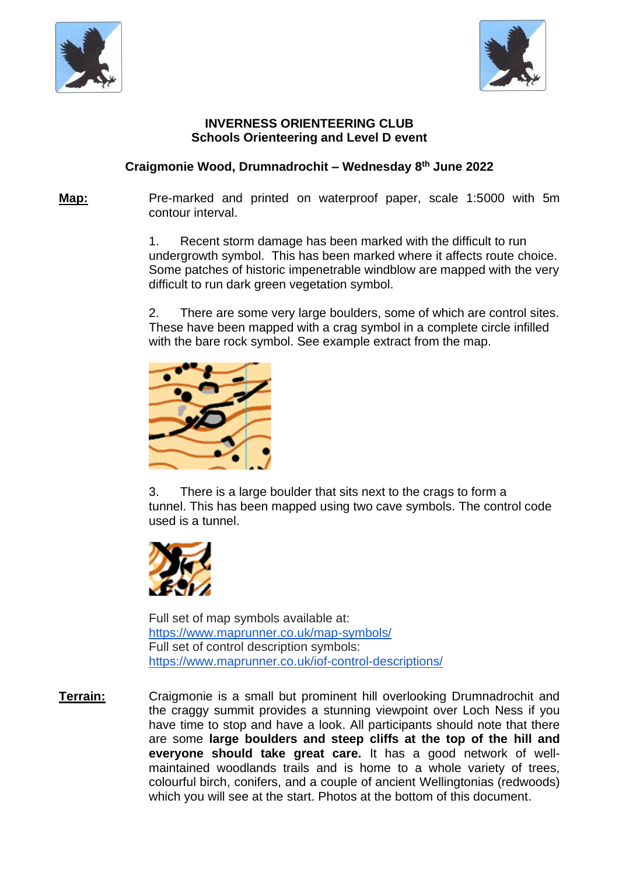



## **INVERNESS ORIENTEERING CLUB Schools Orienteering and Level D event**

## **Craigmonie Wood, Drumnadrochit – Wednesday 8 th June 2022**

**Map:** Pre-marked and printed on waterproof paper, scale 1:5000 with 5m contour interval.

> 1. Recent storm damage has been marked with the difficult to run undergrowth symbol. This has been marked where it affects route choice. Some patches of historic impenetrable windblow are mapped with the very difficult to run dark green vegetation symbol.

> 2. There are some very large boulders, some of which are control sites. These have been mapped with a crag symbol in a complete circle infilled with the bare rock symbol. See example extract from the map.



3. There is a large boulder that sits next to the crags to form a tunnel. This has been mapped using two cave symbols. The control code used is a tunnel.



Full set of map symbols available at: <https://www.maprunner.co.uk/map-symbols/> Full set of control description symbols: <https://www.maprunner.co.uk/iof-control-descriptions/>

**Terrain:** Craigmonie is a small but prominent hill overlooking Drumnadrochit and the craggy summit provides a stunning viewpoint over Loch Ness if you have time to stop and have a look. All participants should note that there are some **large boulders and steep cliffs at the top of the hill and everyone should take great care.** It has a good network of wellmaintained woodlands trails and is home to a whole variety of trees, colourful birch, conifers, and a couple of ancient Wellingtonias (redwoods) which you will see at the start. Photos at the bottom of this document.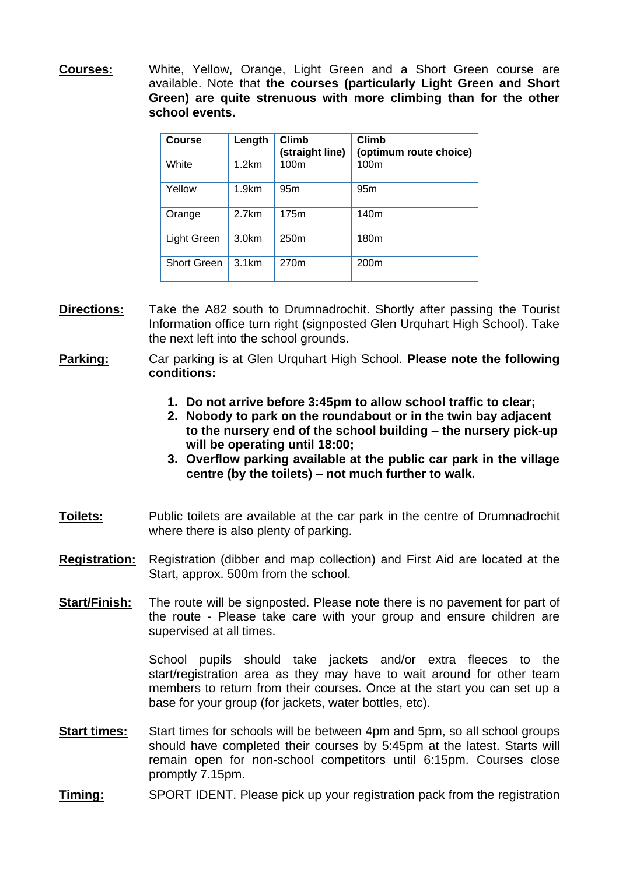**Courses:** White, Yellow, Orange, Light Green and a Short Green course are available. Note that **the courses (particularly Light Green and Short Green) are quite strenuous with more climbing than for the other school events.**

| <b>Course</b>      | Length            | <b>Climb</b><br>(straight line) | <b>Climb</b><br>(optimum route choice) |
|--------------------|-------------------|---------------------------------|----------------------------------------|
| White              | 1.2km             | 100m                            | 100m                                   |
| Yellow             | 1.9km             | 95 <sub>m</sub>                 | 95 <sub>m</sub>                        |
| Orange             | 2.7km             | 175m                            | 140m                                   |
| Light Green        | 3.0 <sub>km</sub> | 250m                            | 180 <sub>m</sub>                       |
| <b>Short Green</b> | 3.1km             | 270m                            | 200 <sub>m</sub>                       |

- **Directions:** Take the A82 south to Drumnadrochit. Shortly after passing the Tourist Information office turn right (signposted Glen Urquhart High School). Take the next left into the school grounds.
- **Parking:**  Car parking is at Glen Urquhart High School. **Please note the following conditions:**
	- **1. Do not arrive before 3:45pm to allow school traffic to clear;**
	- **2. Nobody to park on the roundabout or in the twin bay adjacent to the nursery end of the school building – the nursery pick-up will be operating until 18:00;**
	- **3. Overflow parking available at the public car park in the village centre (by the toilets) – not much further to walk.**
- **Toilets:** Public toilets are available at the car park in the centre of Drumnadrochit where there is also plenty of parking.
- **Registration:** Registration (dibber and map collection) and First Aid are located at the Start, approx. 500m from the school.
- **Start/Finish:** The route will be signposted. Please note there is no pavement for part of the route - Please take care with your group and ensure children are supervised at all times.

School pupils should take jackets and/or extra fleeces to the start/registration area as they may have to wait around for other team members to return from their courses. Once at the start you can set up a base for your group (for jackets, water bottles, etc).

- **Start times:** Start times for schools will be between 4pm and 5pm, so all school groups should have completed their courses by 5:45pm at the latest. Starts will remain open for non-school competitors until 6:15pm. Courses close promptly 7.15pm.
- **Timing:** SPORT IDENT. Please pick up your registration pack from the registration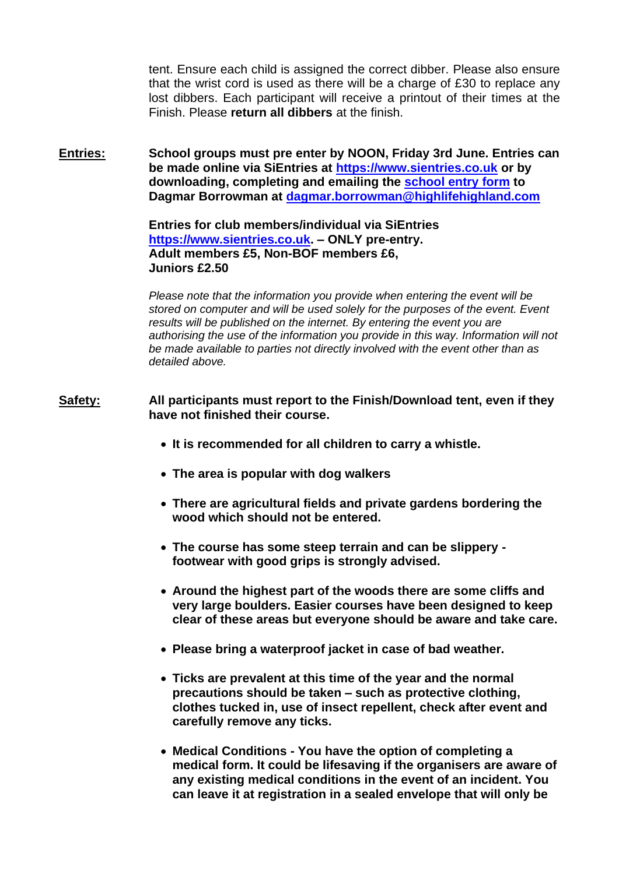tent. Ensure each child is assigned the correct dibber. Please also ensure that the wrist cord is used as there will be a charge of £30 to replace any lost dibbers. Each participant will receive a printout of their times at the Finish. Please **return all dibbers** at the finish.

**Entries: School groups must pre enter by NOON, Friday 3rd June. Entries can be made online via SiEntries at [https://www.sientries.co.uk](https://www.sientries.co.uk/) or by downloading, completing and emailing the [school entry form](https://www.dropbox.com/s/3ky1hru76uueq0u/INVOC_Schools_2022_Entry_Form_Craigmonie.xlsx?dl=0%20) to Dagmar Borrowman at [dagmar.borrowman@highlifehighland.com](mailto:dagmar.borrowman@highlifehighland.com)**

> **Entries for club members/individual via SiEntries [https://www.sientries.co.uk.](https://www.sientries.co.uk/) – ONLY pre-entry. Adult members £5, Non-BOF members £6, Juniors £2.50**

*Please note that the information you provide when entering the event will be stored on computer and will be used solely for the purposes of the event. Event results will be published on the internet. By entering the event you are authorising the use of the information you provide in this way. Information will not be made available to parties not directly involved with the event other than as detailed above.*

- **Safety: All participants must report to the Finish/Download tent, even if they have not finished their course.** 
	- **It is recommended for all children to carry a whistle.**
	- **The area is popular with dog walkers**
	- **There are agricultural fields and private gardens bordering the wood which should not be entered.**
	- **The course has some steep terrain and can be slippery footwear with good grips is strongly advised.**
	- **Around the highest part of the woods there are some cliffs and very large boulders. Easier courses have been designed to keep clear of these areas but everyone should be aware and take care.**
	- **Please bring a waterproof jacket in case of bad weather.**
	- **Ticks are prevalent at this time of the year and the normal precautions should be taken – such as protective clothing, clothes tucked in, use of insect repellent, check after event and carefully remove any ticks.**
	- **Medical Conditions - You have the option of completing a medical form. It could be lifesaving if the organisers are aware of any existing medical conditions in the event of an incident. You can leave it at registration in a sealed envelope that will only be**